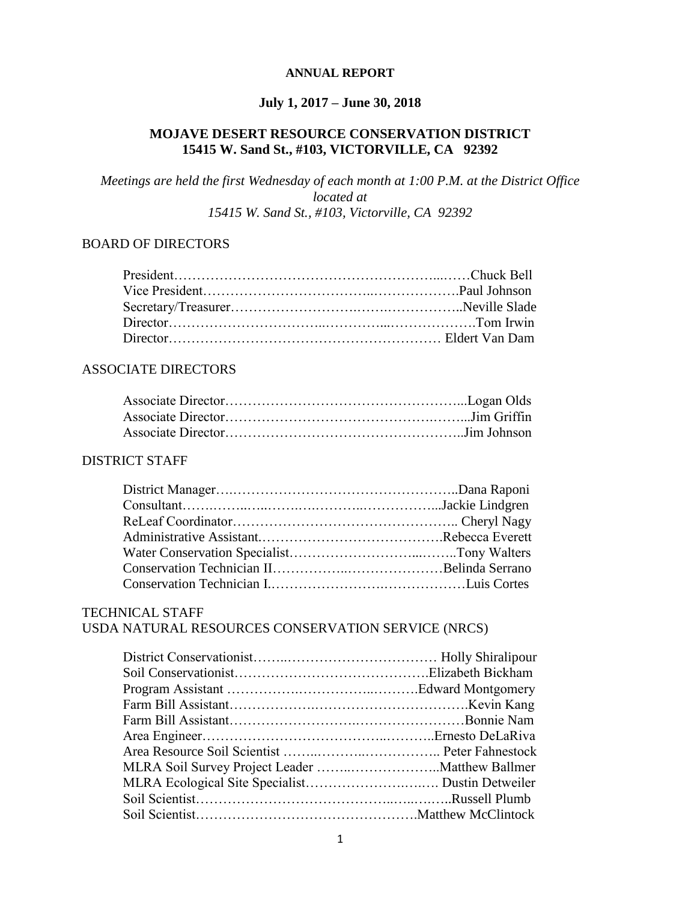#### **ANNUAL REPORT**

## **July 1, 2017 – June 30, 2018**

## **MOJAVE DESERT RESOURCE CONSERVATION DISTRICT 15415 W. Sand St., #103, VICTORVILLE, CA 92392**

*Meetings are held the first Wednesday of each month at 1:00 P.M. at the District Office located at 15415 W. Sand St., #103, Victorville, CA 92392*

#### BOARD OF DIRECTORS

#### ASSOCIATE DIRECTORS

#### DISTRICT STAFF

#### TECHNICAL STAFF

## USDA NATURAL RESOURCES CONSERVATION SERVICE (NRCS)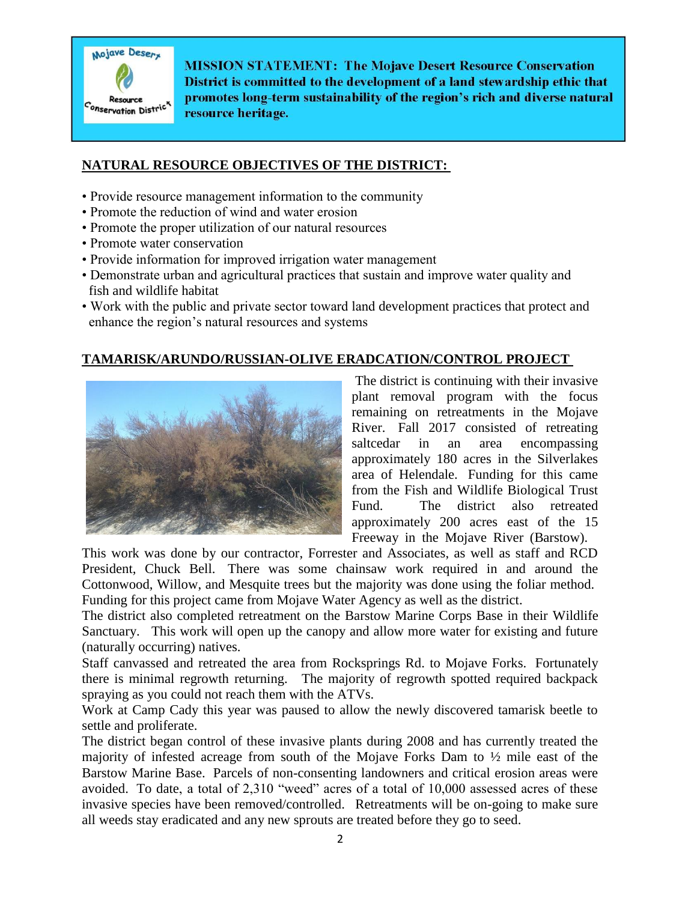

**MISSION STATEMENT: The Mojave Desert Resource Conservation** District is committed to the development of a land stewardship ethic that promotes long-term sustainability of the region's rich and diverse natural resource heritage.

#### **NATURAL RESOURCE OBJECTIVES OF THE DISTRICT:**

- Provide resource management information to the community
- Promote the reduction of wind and water erosion
- Promote the proper utilization of our natural resources
- Promote water conservation
- Provide information for improved irrigation water management
- Demonstrate urban and agricultural practices that sustain and improve water quality and fish and wildlife habitat
- Work with the public and private sector toward land development practices that protect and enhance the region's natural resources and systems

#### **TAMARISK/ARUNDO/RUSSIAN-OLIVE ERADCATION/CONTROL PROJECT**



The district is continuing with their invasive plant removal program with the focus remaining on retreatments in the Mojave River. Fall 2017 consisted of retreating saltcedar in an area encompassing approximately 180 acres in the Silverlakes area of Helendale. Funding for this came from the Fish and Wildlife Biological Trust Fund. The district also retreated approximately 200 acres east of the 15 Freeway in the Mojave River (Barstow).

This work was done by our contractor, Forrester and Associates, as well as staff and RCD President, Chuck Bell. There was some chainsaw work required in and around the Cottonwood, Willow, and Mesquite trees but the majority was done using the foliar method. Funding for this project came from Mojave Water Agency as well as the district.

The district also completed retreatment on the Barstow Marine Corps Base in their Wildlife Sanctuary. This work will open up the canopy and allow more water for existing and future (naturally occurring) natives.

Staff canvassed and retreated the area from Rocksprings Rd. to Mojave Forks. Fortunately there is minimal regrowth returning. The majority of regrowth spotted required backpack spraying as you could not reach them with the ATVs.

Work at Camp Cady this year was paused to allow the newly discovered tamarisk beetle to settle and proliferate.

The district began control of these invasive plants during 2008 and has currently treated the majority of infested acreage from south of the Mojave Forks Dam to ½ mile east of the Barstow Marine Base. Parcels of non-consenting landowners and critical erosion areas were avoided. To date, a total of 2,310 "weed" acres of a total of 10,000 assessed acres of these invasive species have been removed/controlled. Retreatments will be on-going to make sure all weeds stay eradicated and any new sprouts are treated before they go to seed.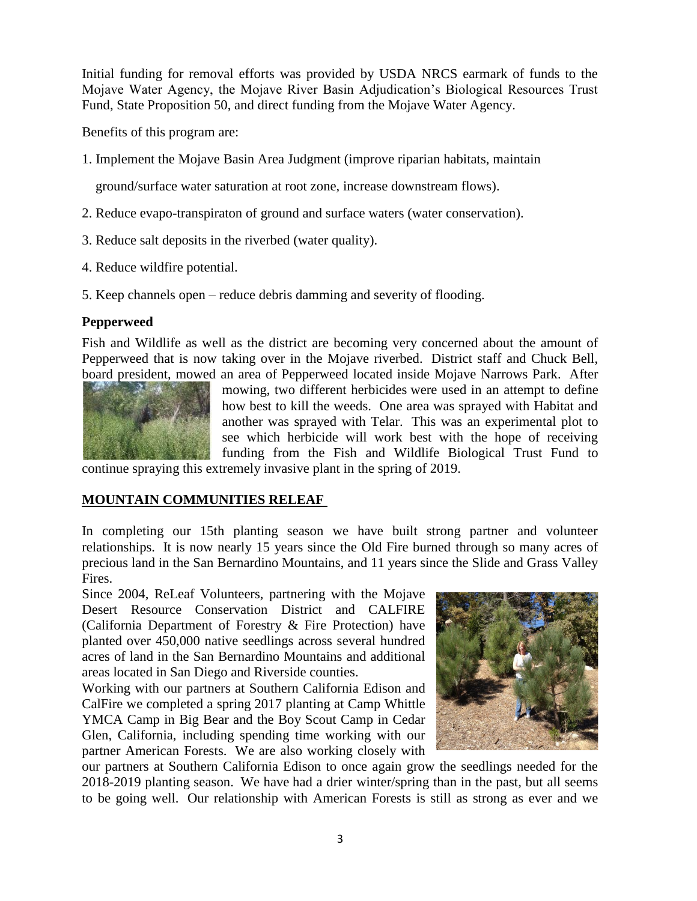Initial funding for removal efforts was provided by USDA NRCS earmark of funds to the Mojave Water Agency, the Mojave River Basin Adjudication's Biological Resources Trust Fund, State Proposition 50, and direct funding from the Mojave Water Agency.

Benefits of this program are:

1. Implement the Mojave Basin Area Judgment (improve riparian habitats, maintain

ground/surface water saturation at root zone, increase downstream flows).

- 2. Reduce evapo-transpiraton of ground and surface waters (water conservation).
- 3. Reduce salt deposits in the riverbed (water quality).
- 4. Reduce wildfire potential.
- 5. Keep channels open reduce debris damming and severity of flooding.

#### **Pepperweed**

Fish and Wildlife as well as the district are becoming very concerned about the amount of Pepperweed that is now taking over in the Mojave riverbed. District staff and Chuck Bell, board president, mowed an area of Pepperweed located inside Mojave Narrows Park. After



mowing, two different herbicides were used in an attempt to define how best to kill the weeds. One area was sprayed with Habitat and another was sprayed with Telar. This was an experimental plot to see which herbicide will work best with the hope of receiving funding from the Fish and Wildlife Biological Trust Fund to

continue spraying this extremely invasive plant in the spring of 2019.

## **MOUNTAIN COMMUNITIES RELEAF**

In completing our 15th planting season we have built strong partner and volunteer relationships. It is now nearly 15 years since the Old Fire burned through so many acres of precious land in the San Bernardino Mountains, and 11 years since the Slide and Grass Valley Fires.

Since 2004, ReLeaf Volunteers, partnering with the Mojave Desert Resource Conservation District and CALFIRE (California Department of Forestry & Fire Protection) have planted over 450,000 native seedlings across several hundred acres of land in the San Bernardino Mountains and additional areas located in San Diego and Riverside counties.

Working with our partners at Southern California Edison and CalFire we completed a spring 2017 planting at Camp Whittle YMCA Camp in Big Bear and the Boy Scout Camp in Cedar Glen, California, including spending time working with our partner American Forests. We are also working closely with



our partners at Southern California Edison to once again grow the seedlings needed for the 2018-2019 planting season. We have had a drier winter/spring than in the past, but all seems to be going well. Our relationship with American Forests is still as strong as ever and we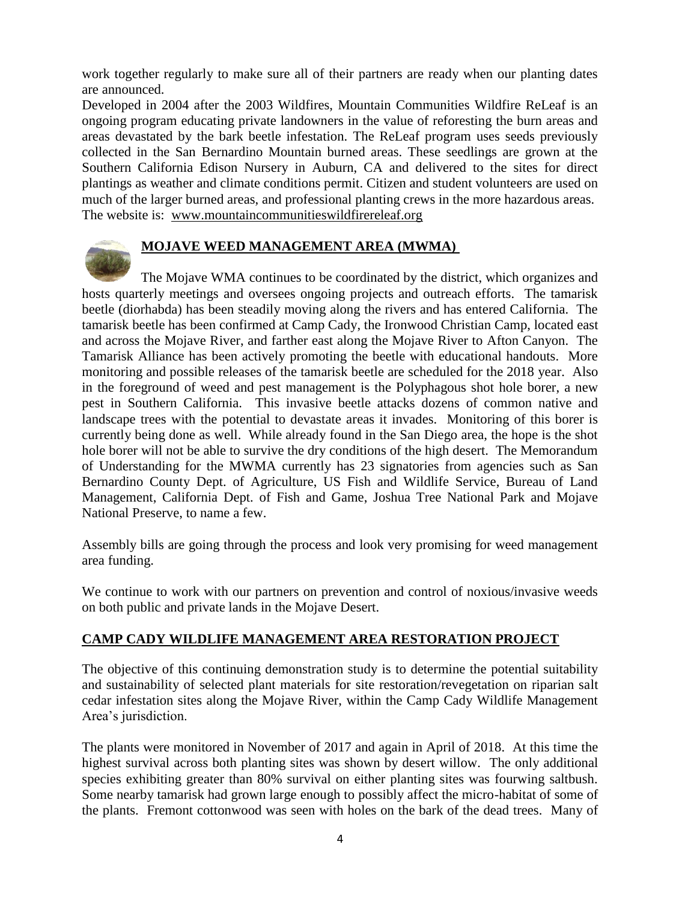work together regularly to make sure all of their partners are ready when our planting dates are announced.

Developed in 2004 after the 2003 Wildfires, Mountain Communities Wildfire ReLeaf is an ongoing program educating private landowners in the value of reforesting the burn areas and areas devastated by the bark beetle infestation. The ReLeaf program uses seeds previously collected in the San Bernardino Mountain burned areas. These seedlings are grown at the Southern California Edison Nursery in Auburn, CA and delivered to the sites for direct plantings as weather and climate conditions permit. Citizen and student volunteers are used on much of the larger burned areas, and professional planting crews in the more hazardous areas. The website is: [www.mountaincommunitieswildfirereleaf.org](http://www.mountaincommunitieswildfirereleaf.org/)



# **MOJAVE WEED MANAGEMENT AREA (MWMA)**

The Mojave WMA continues to be coordinated by the district, which organizes and hosts quarterly meetings and oversees ongoing projects and outreach efforts. The tamarisk beetle (diorhabda) has been steadily moving along the rivers and has entered California. The tamarisk beetle has been confirmed at Camp Cady, the Ironwood Christian Camp, located east and across the Mojave River, and farther east along the Mojave River to Afton Canyon. The Tamarisk Alliance has been actively promoting the beetle with educational handouts. More monitoring and possible releases of the tamarisk beetle are scheduled for the 2018 year. Also in the foreground of weed and pest management is the Polyphagous shot hole borer, a new pest in Southern California. This invasive beetle attacks dozens of common native and landscape trees with the potential to devastate areas it invades. Monitoring of this borer is currently being done as well. While already found in the San Diego area, the hope is the shot hole borer will not be able to survive the dry conditions of the high desert. The Memorandum of Understanding for the MWMA currently has 23 signatories from agencies such as San Bernardino County Dept. of Agriculture, US Fish and Wildlife Service, Bureau of Land Management, California Dept. of Fish and Game, Joshua Tree National Park and Mojave National Preserve, to name a few.

Assembly bills are going through the process and look very promising for weed management area funding.

We continue to work with our partners on prevention and control of noxious/invasive weeds on both public and private lands in the Mojave Desert.

## **CAMP CADY WILDLIFE MANAGEMENT AREA RESTORATION PROJECT**

The objective of this continuing demonstration study is to determine the potential suitability and sustainability of selected plant materials for site restoration/revegetation on riparian salt cedar infestation sites along the Mojave River, within the Camp Cady Wildlife Management Area's jurisdiction.

The plants were monitored in November of 2017 and again in April of 2018. At this time the highest survival across both planting sites was shown by desert willow. The only additional species exhibiting greater than 80% survival on either planting sites was fourwing saltbush. Some nearby tamarisk had grown large enough to possibly affect the micro-habitat of some of the plants. Fremont cottonwood was seen with holes on the bark of the dead trees. Many of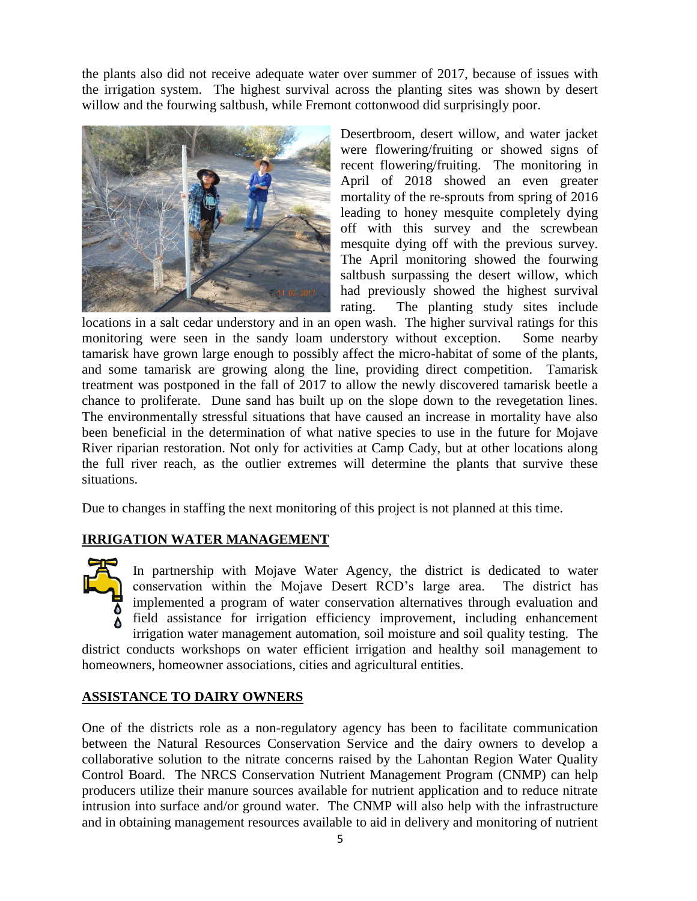the plants also did not receive adequate water over summer of 2017, because of issues with the irrigation system. The highest survival across the planting sites was shown by desert willow and the fourwing saltbush, while Fremont cottonwood did surprisingly poor.



Desertbroom, desert willow, and water jacket were flowering/fruiting or showed signs of recent flowering/fruiting. The monitoring in April of 2018 showed an even greater mortality of the re-sprouts from spring of 2016 leading to honey mesquite completely dying off with this survey and the screwbean mesquite dying off with the previous survey. The April monitoring showed the fourwing saltbush surpassing the desert willow, which had previously showed the highest survival rating. The planting study sites include

locations in a salt cedar understory and in an open wash. The higher survival ratings for this monitoring were seen in the sandy loam understory without exception. Some nearby tamarisk have grown large enough to possibly affect the micro-habitat of some of the plants, and some tamarisk are growing along the line, providing direct competition. Tamarisk treatment was postponed in the fall of 2017 to allow the newly discovered tamarisk beetle a chance to proliferate. Dune sand has built up on the slope down to the revegetation lines. The environmentally stressful situations that have caused an increase in mortality have also been beneficial in the determination of what native species to use in the future for Mojave River riparian restoration. Not only for activities at Camp Cady, but at other locations along the full river reach, as the outlier extremes will determine the plants that survive these situations.

Due to changes in staffing the next monitoring of this project is not planned at this time.

## **IRRIGATION WATER MANAGEMENT**



In partnership with Mojave Water Agency, the district is dedicated to water conservation within the Mojave Desert RCD's large area. The district has implemented a program of water conservation alternatives through evaluation and field assistance for irrigation efficiency improvement, including enhancement irrigation water management automation, soil moisture and soil quality testing. The

district conducts workshops on water efficient irrigation and healthy soil management to homeowners, homeowner associations, cities and agricultural entities.

## **ASSISTANCE TO DAIRY OWNERS**

One of the districts role as a non-regulatory agency has been to facilitate communication between the Natural Resources Conservation Service and the dairy owners to develop a collaborative solution to the nitrate concerns raised by the Lahontan Region Water Quality Control Board. The NRCS Conservation Nutrient Management Program (CNMP) can help producers utilize their manure sources available for nutrient application and to reduce nitrate intrusion into surface and/or ground water. The CNMP will also help with the infrastructure and in obtaining management resources available to aid in delivery and monitoring of nutrient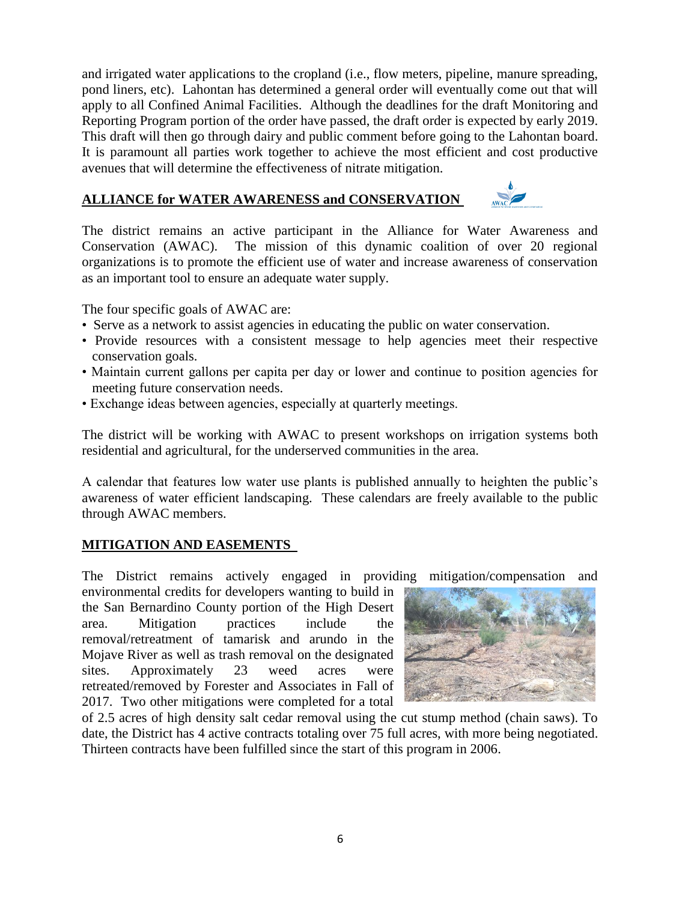and irrigated water applications to the cropland (i.e., flow meters, pipeline, manure spreading, pond liners, etc). Lahontan has determined a general order will eventually come out that will apply to all Confined Animal Facilities. Although the deadlines for the draft Monitoring and Reporting Program portion of the order have passed, the draft order is expected by early 2019. This draft will then go through dairy and public comment before going to the Lahontan board. It is paramount all parties work together to achieve the most efficient and cost productive avenues that will determine the effectiveness of nitrate mitigation.

#### **ALLIANCE for WATER AWARENESS and CONSERVATION**



The district remains an active participant in the Alliance for Water Awareness and Conservation (AWAC). The mission of this dynamic coalition of over 20 regional organizations is to promote the efficient use of water and increase awareness of conservation as an important tool to ensure an adequate water supply.

The four specific goals of AWAC are:

- Serve as a network to assist agencies in educating the public on water conservation.
- Provide resources with a consistent message to help agencies meet their respective conservation goals.
- Maintain current gallons per capita per day or lower and continue to position agencies for meeting future conservation needs.
- Exchange ideas between agencies, especially at quarterly meetings.

The district will be working with AWAC to present workshops on irrigation systems both residential and agricultural, for the underserved communities in the area.

A calendar that features low water use plants is published annually to heighten the public's awareness of water efficient landscaping. These calendars are freely available to the public through AWAC members.

## **MITIGATION AND EASEMENTS**

The District remains actively engaged in providing mitigation/compensation and

environmental credits for developers wanting to build in the San Bernardino County portion of the High Desert area. Mitigation practices include the removal/retreatment of tamarisk and arundo in the Mojave River as well as trash removal on the designated sites. Approximately 23 weed acres were retreated/removed by Forester and Associates in Fall of 2017. Two other mitigations were completed for a total



of 2.5 acres of high density salt cedar removal using the cut stump method (chain saws). To date, the District has 4 active contracts totaling over 75 full acres, with more being negotiated. Thirteen contracts have been fulfilled since the start of this program in 2006.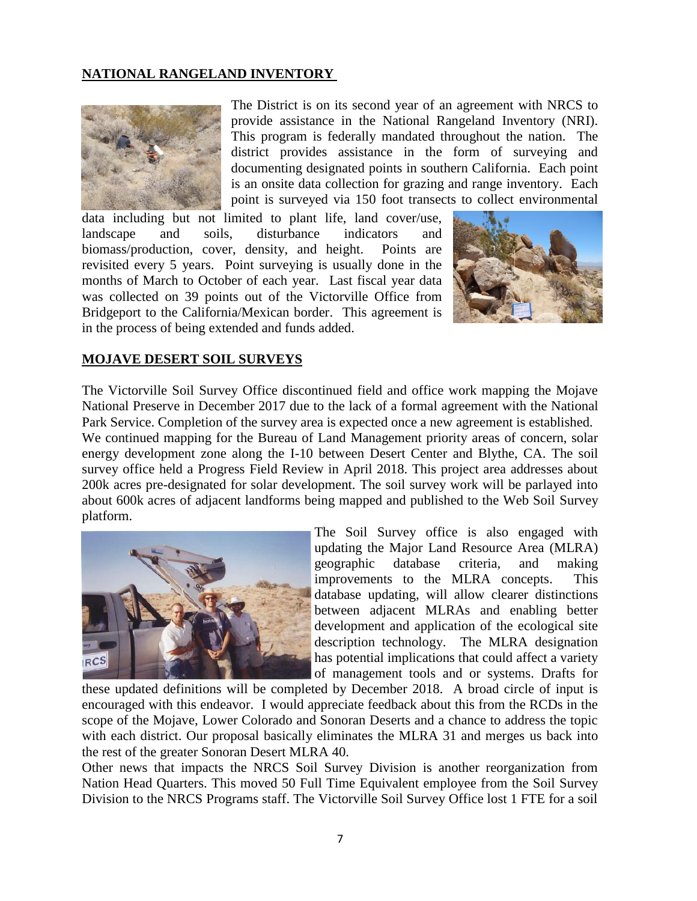#### **NATIONAL RANGELAND INVENTORY**



The District is on its second year of an agreement with NRCS to provide assistance in the National Rangeland Inventory (NRI). This program is federally mandated throughout the nation. The district provides assistance in the form of surveying and documenting designated points in southern California. Each point is an onsite data collection for grazing and range inventory. Each point is surveyed via 150 foot transects to collect environmental

data including but not limited to plant life, land cover/use, landscape and soils, disturbance indicators and biomass/production, cover, density, and height. Points are revisited every 5 years. Point surveying is usually done in the months of March to October of each year. Last fiscal year data was collected on 39 points out of the Victorville Office from Bridgeport to the California/Mexican border. This agreement is in the process of being extended and funds added.



#### **MOJAVE DESERT SOIL SURVEYS**

The Victorville Soil Survey Office discontinued field and office work mapping the Mojave National Preserve in December 2017 due to the lack of a formal agreement with the National Park Service. Completion of the survey area is expected once a new agreement is established.

We continued mapping for the Bureau of Land Management priority areas of concern, solar energy development zone along the I-10 between Desert Center and Blythe, CA. The soil survey office held a Progress Field Review in April 2018. This project area addresses about 200k acres pre-designated for solar development. The soil survey work will be parlayed into about 600k acres of adjacent landforms being mapped and published to the Web Soil Survey platform.



The Soil Survey office is also engaged with updating the Major Land Resource Area (MLRA) geographic database criteria, and making improvements to the MLRA concepts. This database updating, will allow clearer distinctions between adjacent MLRAs and enabling better development and application of the ecological site description technology. The MLRA designation has potential implications that could affect a variety of management tools and or systems. Drafts for

these updated definitions will be completed by December 2018. A broad circle of input is encouraged with this endeavor. I would appreciate feedback about this from the RCDs in the scope of the Mojave, Lower Colorado and Sonoran Deserts and a chance to address the topic with each district. Our proposal basically eliminates the MLRA 31 and merges us back into the rest of the greater Sonoran Desert MLRA 40.

Other news that impacts the NRCS Soil Survey Division is another reorganization from Nation Head Quarters. This moved 50 Full Time Equivalent employee from the Soil Survey Division to the NRCS Programs staff. The Victorville Soil Survey Office lost 1 FTE for a soil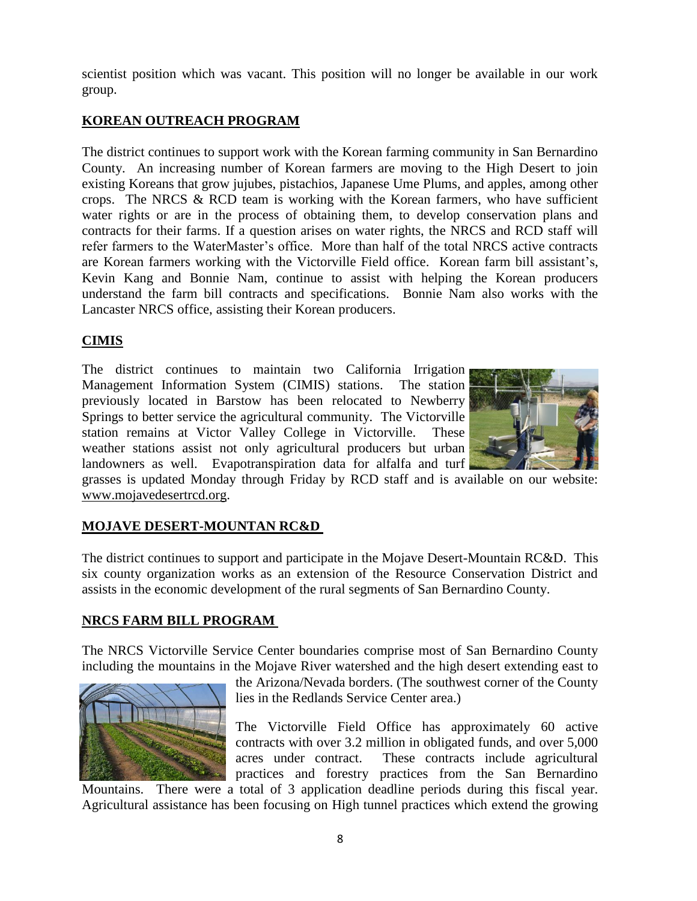scientist position which was vacant. This position will no longer be available in our work group.

# **KOREAN OUTREACH PROGRAM**

The district continues to support work with the Korean farming community in San Bernardino County. An increasing number of Korean farmers are moving to the High Desert to join existing Koreans that grow jujubes, pistachios, Japanese Ume Plums, and apples, among other crops. The NRCS & RCD team is working with the Korean farmers, who have sufficient water rights or are in the process of obtaining them, to develop conservation plans and contracts for their farms. If a question arises on water rights, the NRCS and RCD staff will refer farmers to the WaterMaster's office. More than half of the total NRCS active contracts are Korean farmers working with the Victorville Field office. Korean farm bill assistant's, Kevin Kang and Bonnie Nam, continue to assist with helping the Korean producers understand the farm bill contracts and specifications. Bonnie Nam also works with the Lancaster NRCS office, assisting their Korean producers.

# **CIMIS**

The district continues to maintain two California Irrigation Management Information System (CIMIS) stations. The station previously located in Barstow has been relocated to Newberry Springs to better service the agricultural community. The Victorville station remains at Victor Valley College in Victorville. These weather stations assist not only agricultural producers but urban landowners as well. Evapotranspiration data for alfalfa and turf



grasses is updated Monday through Friday by RCD staff and is available on our website: [www.mojavedesertrcd.org.](http://www.mojavedesertrcd.org/)

## **MOJAVE DESERT-MOUNTAN RC&D**

The district continues to support and participate in the Mojave Desert-Mountain RC&D. This six county organization works as an extension of the Resource Conservation District and assists in the economic development of the rural segments of San Bernardino County.

## **NRCS FARM BILL PROGRAM**

The NRCS Victorville Service Center boundaries comprise most of San Bernardino County including the mountains in the Mojave River watershed and the high desert extending east to



the Arizona/Nevada borders. (The southwest corner of the County lies in the Redlands Service Center area.)

The Victorville Field Office has approximately 60 active contracts with over 3.2 million in obligated funds, and over 5,000 acres under contract. These contracts include agricultural practices and forestry practices from the San Bernardino

Mountains. There were a total of 3 application deadline periods during this fiscal year. Agricultural assistance has been focusing on High tunnel practices which extend the growing